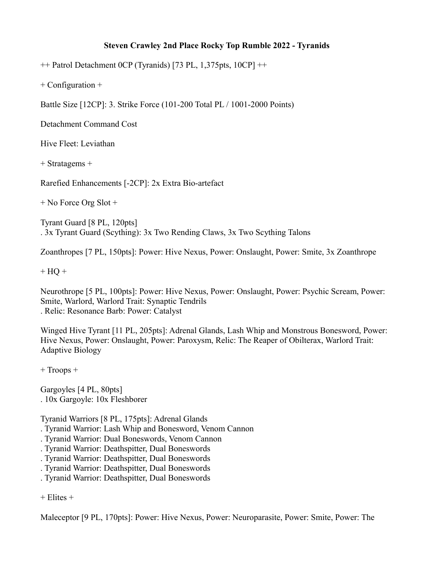## **Steven Crawley 2nd Place Rocky Top Rumble 2022 - Tyranids**

 $++$  Patrol Detachment 0CP (Tyranids) [73 PL, 1,375pts, 10CP]  $++$ 

+ Configuration +

Battle Size [12CP]: 3. Strike Force (101-200 Total PL / 1001-2000 Points)

Detachment Command Cost

Hive Fleet: Leviathan

+ Stratagems +

Rarefied Enhancements [-2CP]: 2x Extra Bio-artefact

+ No Force Org Slot +

Tyrant Guard [8 PL, 120pts] . 3x Tyrant Guard (Scything): 3x Two Rending Claws, 3x Two Scything Talons

Zoanthropes [7 PL, 150pts]: Power: Hive Nexus, Power: Onslaught, Power: Smite, 3x Zoanthrope

 $+$  HQ  $+$ 

Neurothrope [5 PL, 100pts]: Power: Hive Nexus, Power: Onslaught, Power: Psychic Scream, Power: Smite, Warlord, Warlord Trait: Synaptic Tendrils . Relic: Resonance Barb: Power: Catalyst

Winged Hive Tyrant [11 PL, 205pts]: Adrenal Glands, Lash Whip and Monstrous Bonesword, Power: Hive Nexus, Power: Onslaught, Power: Paroxysm, Relic: The Reaper of Obilterax, Warlord Trait: Adaptive Biology

+ Troops +

Gargoyles [4 PL, 80pts] . 10x Gargoyle: 10x Fleshborer

Tyranid Warriors [8 PL, 175pts]: Adrenal Glands

. Tyranid Warrior: Lash Whip and Bonesword, Venom Cannon

- . Tyranid Warrior: Dual Boneswords, Venom Cannon
- . Tyranid Warrior: Deathspitter, Dual Boneswords
- . Tyranid Warrior: Deathspitter, Dual Boneswords
- . Tyranid Warrior: Deathspitter, Dual Boneswords
- . Tyranid Warrior: Deathspitter, Dual Boneswords

+ Elites +

Maleceptor [9 PL, 170pts]: Power: Hive Nexus, Power: Neuroparasite, Power: Smite, Power: The